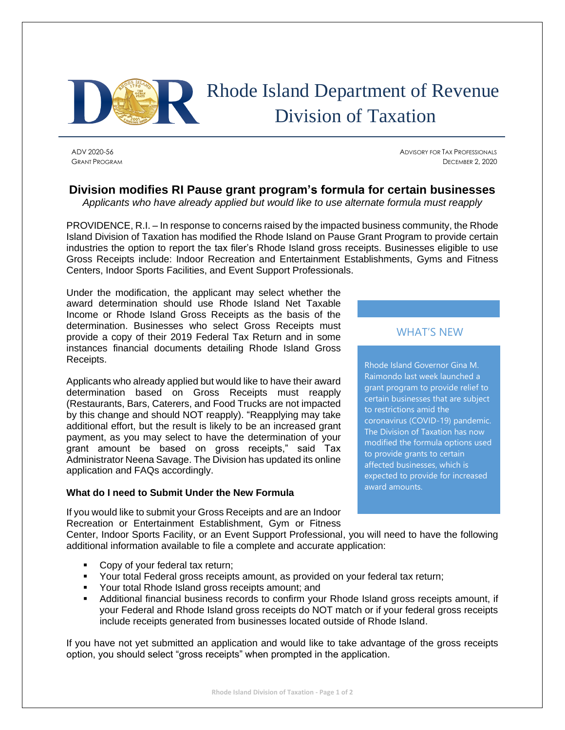

# Rhode Island Department of Revenue Division of Taxation

ADV 2020-56 ADVISORY FOR TAX PROFESSIONALS GRANT PROGRAM DECEMBER 2, 2020

## **Division modifies RI Pause grant program's formula for certain businesses**

*Applicants who have already applied but would like to use alternate formula must reapply*

PROVIDENCE, R.I. – In response to concerns raised by the impacted business community, the Rhode Island Division of Taxation has modified the Rhode Island on Pause Grant Program to provide certain industries the option to report the tax filer's Rhode Island gross receipts. Businesses eligible to use Gross Receipts include: Indoor Recreation and Entertainment Establishments, Gyms and Fitness Centers, Indoor Sports Facilities, and Event Support Professionals.

Under the modification, the applicant may select whether the award determination should use Rhode Island Net Taxable Income or Rhode Island Gross Receipts as the basis of the determination. Businesses who select Gross Receipts must provide a copy of their 2019 Federal Tax Return and in some instances financial documents detailing Rhode Island Gross Receipts.

Applicants who already applied but would like to have their award determination based on Gross Receipts must reapply (Restaurants, Bars, Caterers, and Food Trucks are not impacted by this change and should NOT reapply). "Reapplying may take additional effort, but the result is likely to be an increased grant payment, as you may select to have the determination of your grant amount be based on gross receipts," said Tax Administrator Neena Savage. The Division has updated its online application and FAQs accordingly.

### **What do I need to Submit Under the New Formula**

If you would like to submit your Gross Receipts and are an Indoor Recreation or Entertainment Establishment, Gym or Fitness

#### WHAT'S NEW

Rhode Island Governor Gina M. Raimondo last week launched a grant program to provide relief to certain businesses that are subject to restrictions amid the coronavirus (COVID-19) pandemic. The Division of Taxation has now modified the formula options used to provide grants to certain affected businesses, which is expected to provide for increased award amounts.

Center, Indoor Sports Facility, or an Event Support Professional, you will need to have the following additional information available to file a complete and accurate application:

- Copy of your federal tax return;
- Your total Federal gross receipts amount, as provided on your federal tax return;
- Your total Rhode Island gross receipts amount; and
- Additional financial business records to confirm your Rhode Island gross receipts amount, if your Federal and Rhode Island gross receipts do NOT match or if your federal gross receipts include receipts generated from businesses located outside of Rhode Island.

If you have not yet submitted an application and would like to take advantage of the gross receipts option, you should select "gross receipts" when prompted in the application.